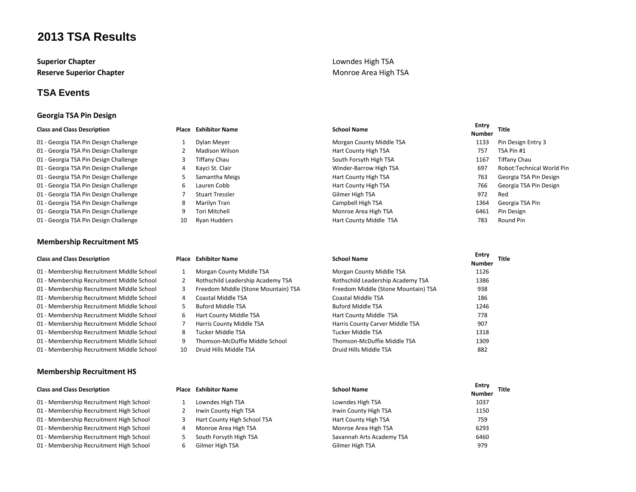**Superior Chapter Superior Chapter Lowndes High TSA Reserve Superior Chapter** Monroe Area High TSA

### **TSA Events**

### **Georgia TSA Pin Design**

### **Class and Class Description Place Exhibitor Name School Name Entry**

01 - Georgia TSA Pin Design Challenge 1 Dylan Meyer 1 Design Entry 3 and The Morgan County Middle TSA 1133 Pin Design Entry 3 01 - Georgia TSA Pin Design Challenge 2 Madison Wilson Hart County High TSA 754 757 TSA Pin #1 01 - Georgia TSA Pin Design Challenge 3 Tiffany Chau 3 Niffany Chau South Forsyth High TSA 1167 Tiffany Chau 01 - Georgia TSA Pin Design Challenge **4 Academia Academia Academia Academia Academia Academia Academia Academia Academia Academia Academia Academia Academia Academia Academia Academia Academia Academia Academia Academia A** 01 - Georgia TSA Pin Design Challenge TS Samantha Meigs TSA 763 Georgia TSA Pin Design TSA 763 Georgia TSA Pin Design 01 - Georgia TSA Pin Design Challenge 6 Lauren Cobb Hart County High TSA 766 Georgia TSA Pin Design 01 - Georgia TSA Pin Design Challenge **7** 2008 The Stuart Tressler Gilmer High TSA 972 Red 01 - Georgia TSA Pin Design Challenge 158 Pin 188 Marilyn Tran 1364 Georgia TSA 1364 Georgia TSA Pin 01 - Georgia TSA Pin Design Challenge 9 Tori Mitchell Monroe Area High TSA 6461 Pin Design 01 - Georgia TSA Pin Design Challenge 10 Ryan Hudders Hart County Middle TSA 783 Round Pin

### **Membership Recruitment MS**

- 01 Membership Recruitment Middle School 1 Morgan County Middle TSA Morgan County Middle TSA 1126
- 
- 
- 
- 
- 
- 
- 
- 
- 01 Membership Recruitment Middle School 10 Druid Hills Middle TSA Druid Hills Middle TSA 882

### **Membership Recruitment HS**

- 01 Membership Recruitment High School
- 01 Membership Recruitment High School
- 01 Membership Recruitment High School
- 01 Membership Recruitment High School
- 01 Membership Recruitment High School
- 

- 
- 
- 
- 
- 
- 
- 
- 
- 

- 
- 
- 
- 
- 
- 
- 
- 
- 
- 

|                                         |   | <b>Place Exhibitor Name</b> | <b>School Name</b>        | Entry<br>Title |
|-----------------------------------------|---|-----------------------------|---------------------------|----------------|
| <b>Class and Class Description</b>      |   |                             |                           | <b>Number</b>  |
| 01 - Membership Recruitment High School |   | Lowndes High TSA            | Lowndes High TSA          | 1037           |
| 01 - Membership Recruitment High School |   | Irwin County High TSA       | Irwin County High TSA     | 1150           |
| 01 - Membership Recruitment High School |   | Hart County High School TSA | Hart County High TSA      | 759            |
| 01 - Membership Recruitment High School | 4 | Monroe Area High TSA        | Monroe Area High TSA      | 6293           |
| 01 - Membership Recruitment High School |   | South Forsyth High TSA      | Savannah Arts Academy TSA | 6460           |
| 01 - Membership Recruitment High School |   | Gilmer High TSA             | Gilmer High TSA           | 979            |

# **Number Title**

- 
- **Class and Class Description Place Exhibitor Name School Name Entry Number Title** 01 - Membership Recruitment Middle School 2 Rothschild Leadership Academy TSA Rothschild Leadership Academy TSA 01 - Membership Recruitment Middle School 3 Freedom Middle (Stone Mountain) TSA Freedom Middle (Stone Mountain) TSA 938 01 - Membership Recruitment Middle School and America Coastal Middle TSA Coastal Middle TSA Coastal Middle TSA 01 - Membership Recruitment Middle School 5 Buford Middle TSA Buford Middle TSA Buford Middle TSA 1246 01 - Membership Recruitment Middle School 6 Hart County Middle TSA Hart County Middle TSA 778 01 - Membership Recruitment Middle School 7 Harris County Middle TSA Harris County Carver Middle TSA 907 01 - Membership Recruitment Middle School 8 Tucker Middle TSA Tucker Middle TSA 1318 01 - Membership Recruitment Middle School 9 Thomson-McDuffie Middle School Thomson-McDuffie Middle TSA 1309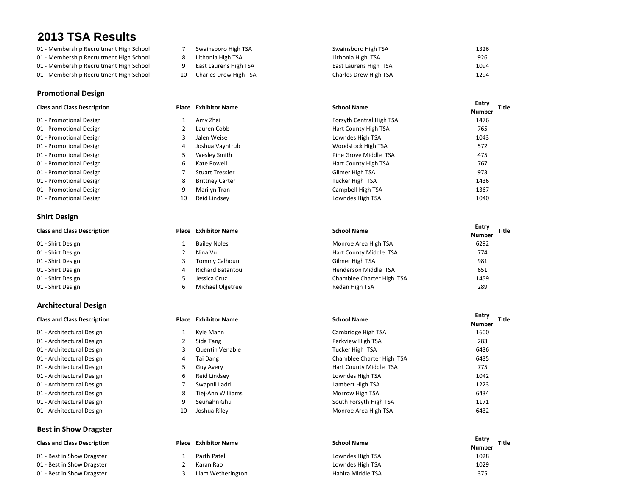- 
- 
- 
- 

### **Promotional Design**

| 01 - Promotional Design |  |
|-------------------------|--|
| 01 - Promotional Design |  |
| 01 - Promotional Design |  |
| 01 - Promotional Design |  |
| 01 - Promotional Design |  |
| 01 - Promotional Design |  |
| 01 - Promotional Design |  |
| 01 - Promotional Design |  |
| 01 - Promotional Design |  |

### **Shirt Design**

| 01 - Shirt Design |  |
|-------------------|--|
| 01 - Shirt Design |  |
| 01 - Shirt Design |  |
| 01 - Shirt Design |  |

- 
- 01 Shirt Design **6 Michael Olgetree**

### **Architectural Design**

| 01 - Architecturai Design |
|---------------------------|
| 01 - Architectural Design |
| 01 - Architectural Design |
| 01 - Architectural Design |
| 01 - Architectural Design |
| 01 - Architectural Design |
| 01 - Architectural Design |
| 01 - Architectural Design |
| 01 - Architectural Design |
| 01 - Architectural Design |

### **Best in Show Dragster**

|  |  | <b>Class and Class Description</b> |
|--|--|------------------------------------|
|--|--|------------------------------------|

- 01 Best in Show Dragster 01 - Best in Show Dragster
- 01 Best in Show Dragster

| Swainsboro Hig |  |  |   |
|----------------|--|--|---|
|                |  |  | - |

- 
- 
- 
- 01 Membership Recruitment High School **7** Swainsboro High TSA Swainsboro High TSA Swainsboro High TSA 1326 01 - Membership Recruitment High School 8 Lithonia High TSA Lithonia High TSA 926 01 - Membership Recruitment High School 9 East Laurens High TSA **East Laurens High TSA** 1094 01 - Membership Recruitment High School 10 294 1294 1294 1294 Charles Drew High TSA Charles Drew High TSA 1294

|   | <b>Exhibitor Name</b>  | <b>School Name</b>       | Entry<br><b>Number</b> | Title |
|---|------------------------|--------------------------|------------------------|-------|
|   | Amy Zhai               | Forsyth Central High TSA | 1476                   |       |
|   | Lauren Cobb            | Hart County High TSA     | 765                    |       |
|   | Jalen Weise            | Lowndes High TSA         | 1043                   |       |
| 4 | Joshua Vayntrub        | Woodstock High TSA       | 572                    |       |
|   | Wesley Smith           | Pine Grove Middle TSA    | 475                    |       |
| 6 | Kate Powell            | Hart County High TSA     | 767                    |       |
|   | <b>Stuart Tressler</b> | Gilmer High TSA          | 973                    |       |
| 8 | <b>Brittney Carter</b> | Tucker High TSA          | 1436                   |       |
|   | Marilyn Tran           | Campbell High TSA        | 1367                   |       |
|   | Reid Lindsev           | Lowndes High TSA         | 1040                   |       |
|   | Place<br>10            |                          |                        |       |

| <b>Class and Class Description</b> | <b>Place</b> Exhibitor Name | <b>School Name</b>        | Entry<br><b>Title</b><br><b>Number</b> |
|------------------------------------|-----------------------------|---------------------------|----------------------------------------|
| 01 - Shirt Design                  | <b>Bailey Noles</b>         | Monroe Area High TSA      | 6292                                   |
| 01 - Shirt Design                  | Nina Vu                     | Hart County Middle TSA    | 774                                    |
| 01 - Shirt Design                  | Tommy Calhoun               | Gilmer High TSA           | 981                                    |
| 01 - Shirt Design                  | <b>Richard Batantou</b>     | Henderson Middle TSA      | 651                                    |
| 01 - Shirt Design                  | Jessica Cruz                | Chamblee Charter High TSA | 1459                                   |
| 01 - Shirt Design                  | Michael Olgetree            | Redan High TSA            | 289                                    |

| <b>Exhibitor Name</b>  | <b>School Name</b>        | Entry<br>Title<br><b>Number</b> |  |
|------------------------|---------------------------|---------------------------------|--|
| Kyle Mann              | Cambridge High TSA        | 1600                            |  |
| Sida Tang              | Parkview High TSA         | 283                             |  |
| <b>Quentin Venable</b> | Tucker High TSA           | 6436                            |  |
| Tai Dang               | Chamblee Charter High TSA | 6435                            |  |
| Guy Avery              | Hart County Middle TSA    | 775                             |  |
| Reid Lindsey           | Lowndes High TSA          | 1042                            |  |
| Swapnil Ladd           | Lambert High TSA          | 1223                            |  |
| Tiej-Ann Williams      | Morrow High TSA           | 6434                            |  |
| Seuhahn Ghu            | South Forsyth High TSA    | 1171                            |  |
| Joshua Riley           | Monroe Area High TSA      | 6432                            |  |
|                        |                           |                                 |  |

| <b>Class and Class Description</b> | Place | <b>Exhibitor Name</b> | <b>School Name</b> | Entry<br><b>Number</b> | Title |
|------------------------------------|-------|-----------------------|--------------------|------------------------|-------|
| 01 - Best in Show Dragster         |       | Parth Patel           | Lowndes High TSA   | 1028                   |       |
| 01 - Best in Show Dragster         |       | Karan Rao             | Lowndes High TSA   | 1029                   |       |
| 01 - Best in Show Dragster         |       | Liam Wetherington     | Hahira Middle TSA  | 375                    |       |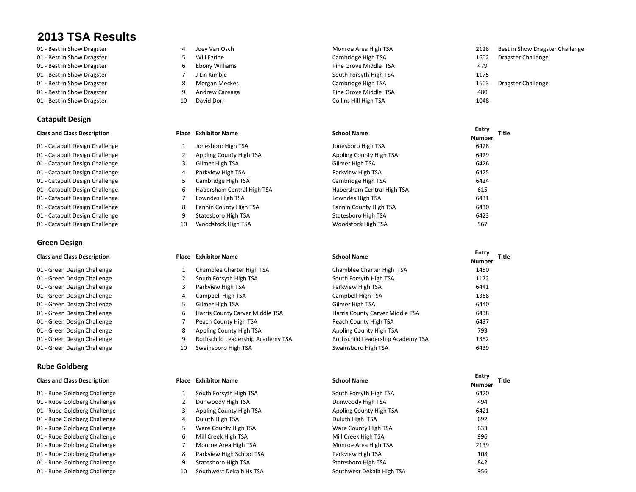- 01 Best in Show Dragster The Monroe Area High TSA 2128 Best in Show Dragster Challenge
- 01 Best in Show Dragster Theorem 2014 Basic Cambridge High TSA 1602 Dragster Challenge 1602 Dragster Challenge
- 01 Best in Show Dragster **6 Ebony Williams** 6 Pine Grove Middle TSA 479
- 
- 
- 

### **Catapult Design**

- 01 Catapult Design Challenge 1 Jonesboro High TSA
- 01 Catapult Design Challenge 2 Appling County High TSA
- 01 Catapult Design Challenge **3** Gilmer High TSA
- 01 Catapult Design Challenge **4 Act 2018** Parkview High TSA
- 01 Catapult Design Challenge 61 Cambridge High TSA
- 01 Catapult Design Challenge 6 Habersham Central High TSA
- 01 Catapult Design Challenge 7 Lowndes High TSA
- 01 Catapult Design Challenge 61 8 Fannin County High TSA
- 01 Catapult Design Challenge **9 Statesboro High TSA**
- 01 Catapult Design Challenge 10 Woodstock High TSA

### **Green Design**

- 01 Green Design Challenge 1 Chamblee Charter High TSA
- 01 Green Design Challenge 2 South Forsyth High TSA
- 01 Green Design Challenge 3 Parkview High TSA
- 01 Green Design Challenge 4 Campbell High TSA Campbell High TSA 1368
- 01 Green Design Challenge 61 6440 6440 MHz 6440 MHz 6440 MHz 6440 MHz 6440 MHz 6440 MHz 6440 MHz 6440 MH
- 01 Green Design Challenge **6 Harris County Carver Middle TSA**
- 01 Green Design Challenge 7 Peach County High TSA
- 01 Green Design Challenge **8 Appling County High TSA**
- 01 Green Design Challenge 19 8 Rothschild Leadership Academy TSA
- 01 Green Design Challenge 10 Swainsboro High TSA

### **Rube Goldberg**

- 01 Rube Goldberg Challenge 1 South Forsyth High TSA
- 01 Rube Goldberg Challenge 2 Dunwoody High TSA
- 01 Rube Goldberg Challenge 3 Appling County High TSA
- 01 Rube Goldberg Challenge **4** Duluth High TSA
- 01 Rube Goldberg Challenge **5 Ware County High TSA**
- 01 Rube Goldberg Challenge 6 Mill Creek High TSA
- 01 Rube Goldberg Challenge 7 Monroe Area High TSA
- 01 Rube Goldberg Challenge 198 Parkview High School TSA
- 01 Rube Goldberg Challenge **9 Statesboro High TSA**
- 01 Rube Goldberg Challenge 10 Southwest Dekalb Hs TSA
- 
- 
- 
- 
- 
- 
- 01 Best in Show Dragster The South Forsyth High TSA 1175 01 - Best in Show Dragster The State of the Show Dragster Challenge 8 Morgan Meckes Cambridge High TSA 1603 Dragster Challenge 01 - Best in Show Dragster **1880** - 9 Andrew Careaga **Pine Grove Middle TSA** 480 01 - Best in Show Dragster The Show Dragster 10 David Dorr Collins Hill High TSA 1048

| <b>Class and Class Description</b> | Place | <b>Exhibitor Name</b>      | <b>School Name</b>         | <b>Entry</b><br><b>Title</b> |
|------------------------------------|-------|----------------------------|----------------------------|------------------------------|
|                                    |       |                            |                            | <b>Number</b>                |
| 01 - Catapult Design Challenge     |       | Jonesboro High TSA         | Jonesboro High TSA         | 6428                         |
| 01 - Catapult Design Challenge     |       | Appling County High TSA    | Appling County High TSA    | 6429                         |
| 01 - Catapult Design Challenge     |       | Gilmer High TSA            | Gilmer High TSA            | 6426                         |
| 01 - Catapult Design Challenge     |       | Parkview High TSA          | Parkview High TSA          | 6425                         |
| 01 - Catapult Design Challenge     |       | Cambridge High TSA         | Cambridge High TSA         | 6424                         |
| 01 - Catapult Design Challenge     | 6.    | Habersham Central High TSA | Habersham Central High TSA | 615                          |
| 01 - Catapult Design Challenge     |       | Lowndes High TSA           | Lowndes High TSA           | 6431                         |
| 01 - Catapult Design Challenge     | 8     | Fannin County High TSA     | Fannin County High TSA     | 6430                         |
| 01 - Catapult Design Challenge     |       | Statesboro High TSA        | Statesboro High TSA        | 6423                         |
| 01 - Catapult Design Challenge     | 10    | Woodstock High TSA         | Woodstock High TSA         | 567                          |

| <b>Class and Class Description</b> | Place | <b>Exhibitor Name</b>             | <b>School Name</b>                |               | <b>Title</b> |
|------------------------------------|-------|-----------------------------------|-----------------------------------|---------------|--------------|
|                                    |       |                                   |                                   | <b>Number</b> |              |
| 01 - Green Design Challenge        |       | Chamblee Charter High TSA         | Chamblee Charter High TSA         | 1450          |              |
| 01 - Green Design Challenge        |       | South Forsyth High TSA            | South Forsyth High TSA            | 1172          |              |
| 01 - Green Design Challenge        |       | Parkview High TSA                 | Parkview High TSA                 | 6441          |              |
| 01 - Green Design Challenge        |       | Campbell High TSA                 | Campbell High TSA                 | 1368          |              |
| 01 - Green Design Challenge        |       | Gilmer High TSA                   | Gilmer High TSA                   | 6440          |              |
| 01 - Green Design Challenge        | 6     | Harris County Carver Middle TSA   | Harris County Carver Middle TSA   | 6438          |              |
| 01 - Green Design Challenge        |       | Peach County High TSA             | Peach County High TSA             | 6437          |              |
| 01 - Green Design Challenge        |       | Appling County High TSA           | Appling County High TSA           | 793           |              |
| 01 - Green Design Challenge        | q     | Rothschild Leadership Academy TSA | Rothschild Leadership Academy TSA | 1382          |              |
| 01 - Green Design Challenge        | 10    | Swainsboro High TSA               | Swainsboro High TSA               | 6439          |              |
|                                    |       |                                   |                                   |               |              |

| <b>Class and Class Description</b> | Place | <b>Exhibitor Name</b>    | <b>School Name</b>        | Entry<br><b>Title</b><br><b>Number</b> |
|------------------------------------|-------|--------------------------|---------------------------|----------------------------------------|
| 01 - Rube Goldberg Challenge       |       | South Forsyth High TSA   | South Forsyth High TSA    | 6420                                   |
| 01 - Rube Goldberg Challenge       |       | Dunwoody High TSA        | Dunwoody High TSA         | 494                                    |
| 01 - Rube Goldberg Challenge       |       | Appling County High TSA  | Appling County High TSA   | 6421                                   |
| 01 - Rube Goldberg Challenge       |       | Duluth High TSA          | Duluth High TSA           | 692                                    |
| 01 - Rube Goldberg Challenge       |       | Ware County High TSA     | Ware County High TSA      | 633                                    |
| 01 - Rube Goldberg Challenge       | 6.    | Mill Creek High TSA      | Mill Creek High TSA       | 996                                    |
| 01 - Rube Goldberg Challenge       |       | Monroe Area High TSA     | Monroe Area High TSA      | 2139                                   |
| 01 - Rube Goldberg Challenge       | 8     | Parkview High School TSA | Parkview High TSA         | 108                                    |
| 01 - Rube Goldberg Challenge       |       | Statesboro High TSA      | Statesboro High TSA       | 842                                    |
| 01 - Rube Goldberg Challenge       | 10    | Southwest Dekalb Hs TSA  | Southwest Dekalb High TSA | 956                                    |
|                                    |       |                          |                           |                                        |

- -
	-
	-
	-
	-
	-
	-
	-
	-
-